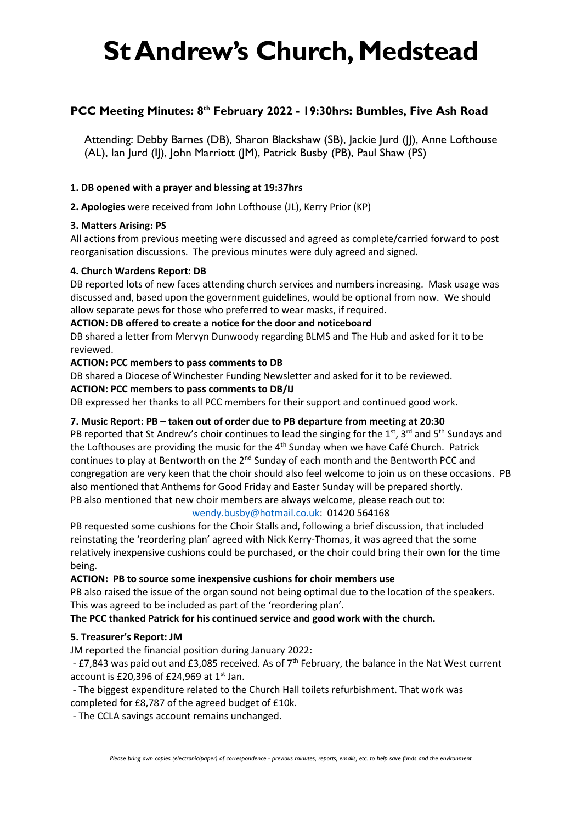# **St Andrew's Church, Medstead**

# **PCC Meeting Minutes: 8 th February 2022 - 19:30hrs: Bumbles, Five Ash Road**

Attending: Debby Barnes (DB), Sharon Blackshaw (SB), Jackie Jurd (JJ), Anne Lofthouse (AL), Ian Jurd (IJ), John Marriott (JM), Patrick Busby (PB), Paul Shaw (PS)

### **1. DB opened with a prayer and blessing at 19:37hrs**

**2. Apologies** were received from John Lofthouse (JL), Kerry Prior (KP)

## **3. Matters Arising: PS**

All actions from previous meeting were discussed and agreed as complete/carried forward to post reorganisation discussions. The previous minutes were duly agreed and signed.

### **4. Church Wardens Report: DB**

DB reported lots of new faces attending church services and numbers increasing. Mask usage was discussed and, based upon the government guidelines, would be optional from now. We should allow separate pews for those who preferred to wear masks, if required.

### **ACTION: DB offered to create a notice for the door and noticeboard**

DB shared a letter from Mervyn Dunwoody regarding BLMS and The Hub and asked for it to be reviewed.

## **ACTION: PCC members to pass comments to DB**

DB shared a Diocese of Winchester Funding Newsletter and asked for it to be reviewed.

## **ACTION: PCC members to pass comments to DB/IJ**

DB expressed her thanks to all PCC members for their support and continued good work.

# **7. Music Report: PB – taken out of order due to PB departure from meeting at 20:30**

PB reported that St Andrew's choir continues to lead the singing for the 1st, 3rd and 5<sup>th</sup> Sundays and the Lofthouses are providing the music for the  $4<sup>th</sup>$  Sunday when we have Café Church. Patrick continues to play at Bentworth on the  $2^{nd}$  Sunday of each month and the Bentworth PCC and congregation are very keen that the choir should also feel welcome to join us on these occasions. PB also mentioned that Anthems for Good Friday and Easter Sunday will be prepared shortly. PB also mentioned that new choir members are always welcome, please reach out to:

### [wendy.busby@hotmail.co.uk:](mailto:wendy.busby@hotmail.co.uk) 01420 564168

PB requested some cushions for the Choir Stalls and, following a brief discussion, that included reinstating the 'reordering plan' agreed with Nick Kerry-Thomas, it was agreed that the some relatively inexpensive cushions could be purchased, or the choir could bring their own for the time being.

### **ACTION: PB to source some inexpensive cushions for choir members use**

PB also raised the issue of the organ sound not being optimal due to the location of the speakers. This was agreed to be included as part of the 'reordering plan'.

### **The PCC thanked Patrick for his continued service and good work with the church.**

# **5. Treasurer's Report: JM**

JM reported the financial position during January 2022:

- £7,843 was paid out and £3,085 received. As of 7<sup>th</sup> February, the balance in the Nat West current account is £20,396 of £24,969 at  $1<sup>st</sup>$  Jan.

- The biggest expenditure related to the Church Hall toilets refurbishment. That work was completed for £8,787 of the agreed budget of £10k.

- The CCLA savings account remains unchanged.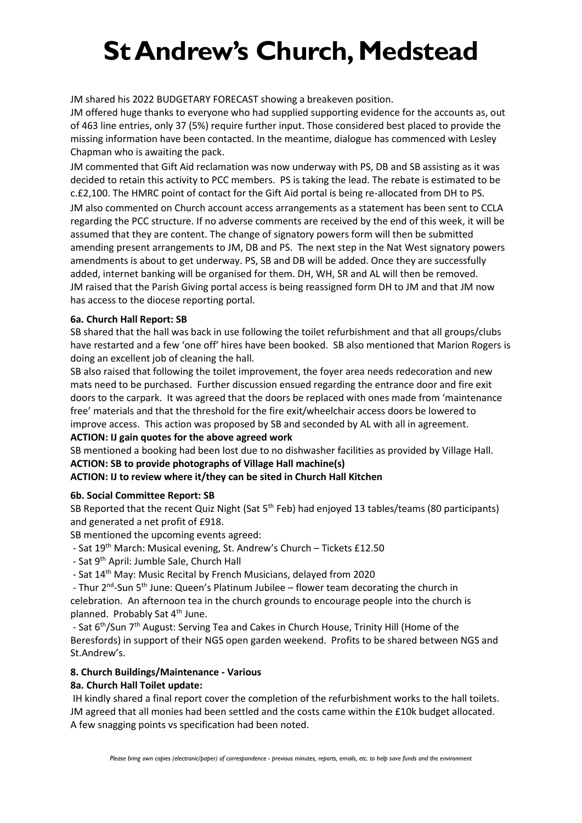# **St Andrew's Church, Medstead**

JM shared his 2022 BUDGETARY FORECAST showing a breakeven position.

JM offered huge thanks to everyone who had supplied supporting evidence for the accounts as, out of 463 line entries, only 37 (5%) require further input. Those considered best placed to provide the missing information have been contacted. In the meantime, dialogue has commenced with Lesley Chapman who is awaiting the pack.

JM commented that Gift Aid reclamation was now underway with PS, DB and SB assisting as it was decided to retain this activity to PCC members. PS is taking the lead. The rebate is estimated to be c.£2,100. The HMRC point of contact for the Gift Aid portal is being re-allocated from DH to PS.

JM also commented on Church account access arrangements as a statement has been sent to CCLA regarding the PCC structure. If no adverse comments are received by the end of this week, it will be assumed that they are content. The change of signatory powers form will then be submitted amending present arrangements to JM, DB and PS. The next step in the Nat West signatory powers amendments is about to get underway. PS, SB and DB will be added. Once they are successfully added, internet banking will be organised for them. DH, WH, SR and AL will then be removed. JM raised that the Parish Giving portal access is being reassigned form DH to JM and that JM now has access to the diocese reporting portal.

## **6a. Church Hall Report: SB**

SB shared that the hall was back in use following the toilet refurbishment and that all groups/clubs have restarted and a few 'one off' hires have been booked. SB also mentioned that Marion Rogers is doing an excellent job of cleaning the hall.

SB also raised that following the toilet improvement, the foyer area needs redecoration and new mats need to be purchased. Further discussion ensued regarding the entrance door and fire exit doors to the carpark. It was agreed that the doors be replaced with ones made from 'maintenance free' materials and that the threshold for the fire exit/wheelchair access doors be lowered to improve access. This action was proposed by SB and seconded by AL with all in agreement.

### **ACTION: IJ gain quotes for the above agreed work**

SB mentioned a booking had been lost due to no dishwasher facilities as provided by Village Hall. **ACTION: SB to provide photographs of Village Hall machine(s)**

# **ACTION: IJ to review where it/they can be sited in Church Hall Kitchen**

### **6b. Social Committee Report: SB**

SB Reported that the recent Quiz Night (Sat 5<sup>th</sup> Feb) had enjoyed 13 tables/teams (80 participants) and generated a net profit of £918.

SB mentioned the upcoming events agreed:

- Sat 19<sup>th</sup> March: Musical evening, St. Andrew's Church Tickets £12.50
- Sat 9<sup>th</sup> April: Jumble Sale, Church Hall
- Sat 14<sup>th</sup> May: Music Recital by French Musicians, delayed from 2020

- Thur 2<sup>nd</sup>-Sun 5<sup>th</sup> June: Queen's Platinum Jubilee – flower team decorating the church in celebration. An afternoon tea in the church grounds to encourage people into the church is planned. Probably Sat 4<sup>th</sup> June.

- Sat 6<sup>th</sup>/Sun 7<sup>th</sup> August: Serving Tea and Cakes in Church House, Trinity Hill (Home of the Beresfords) in support of their NGS open garden weekend. Profits to be shared between NGS and St.Andrew's.

# **8. Church Buildings/Maintenance - Various**

# **8a. Church Hall Toilet update:**

IH kindly shared a final report cover the completion of the refurbishment works to the hall toilets. JM agreed that all monies had been settled and the costs came within the £10k budget allocated. A few snagging points vs specification had been noted.